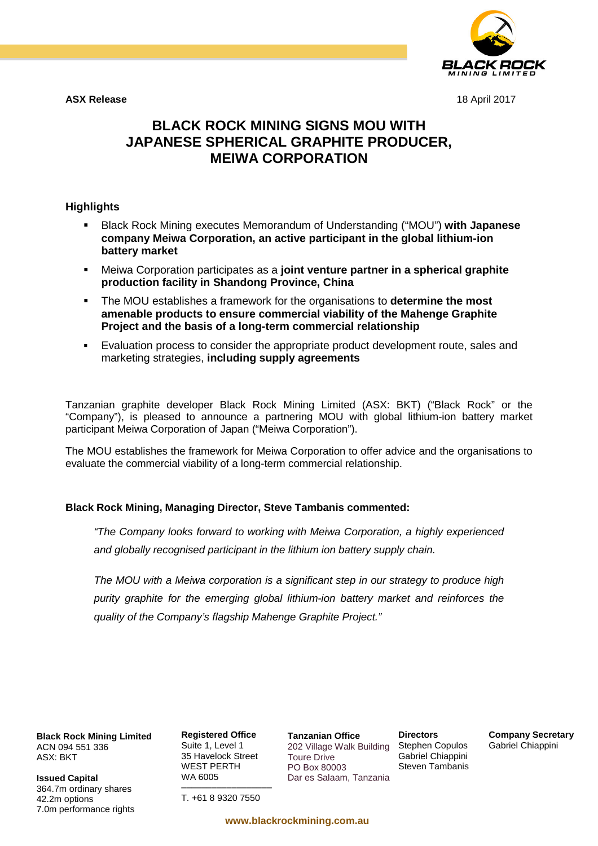

**ASX Release** 18 April 2017

# **BLACK ROCK MINING SIGNS MOU WITH JAPANESE SPHERICAL GRAPHITE PRODUCER, MEIWA CORPORATION**

## **Highlights**

- Black Rock Mining executes Memorandum of Understanding ("MOU") **with Japanese company Meiwa Corporation, an active participant in the global lithium-ion battery market**
- Meiwa Corporation participates as a **joint venture partner in a spherical graphite production facility in Shandong Province, China**
- The MOU establishes a framework for the organisations to **determine the most amenable products to ensure commercial viability of the Mahenge Graphite Project and the basis of a long-term commercial relationship**
- Evaluation process to consider the appropriate product development route, sales and marketing strategies, **including supply agreements**

Tanzanian graphite developer Black Rock Mining Limited (ASX: BKT) ("Black Rock" or the "Company"), is pleased to announce a partnering MOU with global lithium-ion battery market participant Meiwa Corporation of Japan ("Meiwa Corporation").

The MOU establishes the framework for Meiwa Corporation to offer advice and the organisations to evaluate the commercial viability of a long-term commercial relationship.

## **Black Rock Mining, Managing Director, Steve Tambanis commented:**

*"The Company looks forward to working with Meiwa Corporation, a highly experienced and globally recognised participant in the lithium ion battery supply chain.*

*The MOU with a Meiwa corporation is a significant step in our strategy to produce high purity graphite for the emerging global lithium-ion battery market and reinforces the quality of the Company's flagship Mahenge Graphite Project."*

**Black Rock Mining Limited** ACN 094 551 336 ASX: BKT

**Issued Capital** 364.7m ordinary shares 42.2m options 7.0m performance rights **Registered Office** Suite 1, Level 1 35 Havelock Street WEST PERTH WA 6005

–––––––––––––––––– T. +61 8 9320 7550

**www.blackrockmining.com.au**

**Tanzanian Office**

Toure Drive PO Box 80003

202 Village Walk Building Stephen Copulos Dar es Salaam, Tanzania **Directors** Gabriel Chiappini Steven Tambanis **Company Secretary** Gabriel Chiappini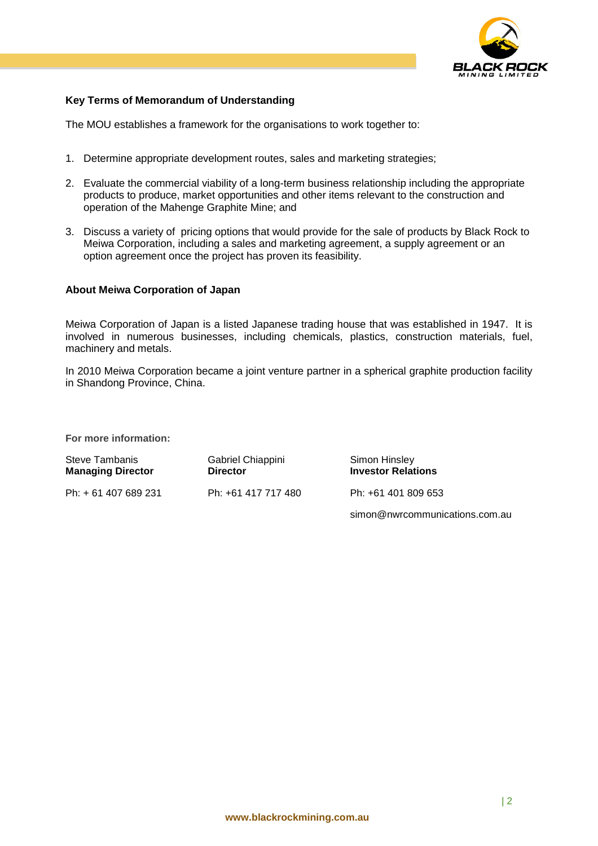

## **Key Terms of Memorandum of Understanding**

The MOU establishes a framework for the organisations to work together to:

- 1. Determine appropriate development routes, sales and marketing strategies;
- 2. Evaluate the commercial viability of a long-term business relationship including the appropriate products to produce, market opportunities and other items relevant to the construction and operation of the Mahenge Graphite Mine; and
- 3. Discuss a variety of pricing options that would provide for the sale of products by Black Rock to Meiwa Corporation, including a sales and marketing agreement, a supply agreement or an option agreement once the project has proven its feasibility.

#### **About Meiwa Corporation of Japan**

Meiwa Corporation of Japan is a listed Japanese trading house that was established in 1947. It is involved in numerous businesses, including chemicals, plastics, construction materials, fuel, machinery and metals.

In 2010 Meiwa Corporation became a joint venture partner in a spherical graphite production facility in Shandong Province, China.

**For more information:**

| Steve Tambanis<br><b>Managing Director</b> | Gabriel Chiappini<br><b>Director</b> | Simon Hinsley<br><b>Investor Relations</b> |
|--------------------------------------------|--------------------------------------|--------------------------------------------|
| Ph: + 61 407 689 231                       | Ph: +61 417 717 480                  | Ph: +61 401 809 653                        |
|                                            |                                      | simon@nwrcommunications.com.au             |